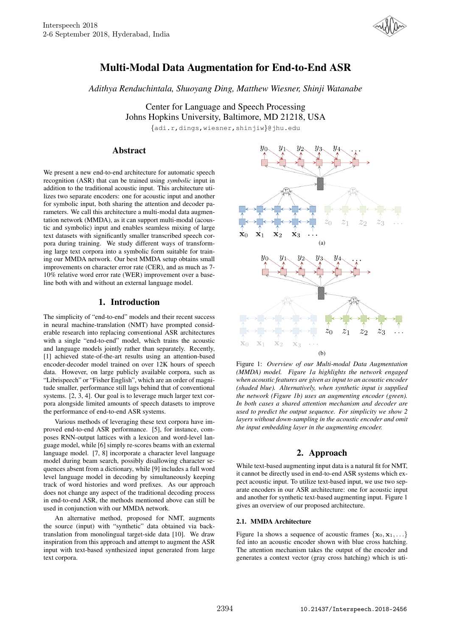

# Multi-Modal Data Augmentation for End-to-End ASR

*Adithya Renduchintala, Shuoyang Ding, Matthew Wiesner, Shinji Watanabe*

Center for Language and Speech Processing Johns Hopkins University, Baltimore, MD 21218, USA

{adi.r,dings,wiesner,shinjiw}@jhu.edu

# Abstract

We present a new end-to-end architecture for automatic speech recognition (ASR) that can be trained using *symbolic* input in addition to the traditional acoustic input. This architecture utilizes two separate encoders: one for acoustic input and another for symbolic input, both sharing the attention and decoder parameters. We call this architecture a multi-modal data augmentation network (MMDA), as it can support multi-modal (acoustic and symbolic) input and enables seamless mixing of large text datasets with significantly smaller transcribed speech corpora during training. We study different ways of transforming large text corpora into a symbolic form suitable for training our MMDA network. Our best MMDA setup obtains small improvements on character error rate (CER), and as much as 7- 10% relative word error rate (WER) improvement over a baseline both with and without an external language model.

# 1. Introduction

The simplicity of "end-to-end" models and their recent success in neural machine-translation (NMT) have prompted considerable research into replacing conventional ASR architectures with a single "end-to-end" model, which trains the acoustic and language models jointly rather than separately. Recently, [1] achieved state-of-the-art results using an attention-based encoder-decoder model trained on over 12K hours of speech data. However, on large publicly available corpora, such as "Librispeech" or "Fisher English", which are an order of magnitude smaller, performance still lags behind that of conventional systems. [2, 3, 4]. Our goal is to leverage much larger text corpora alongside limited amounts of speech datasets to improve the performance of end-to-end ASR systems.

Various methods of leveraging these text corpora have improved end-to-end ASR performance. [5], for instance, composes RNN-output lattices with a lexicon and word-level language model, while [6] simply re-scores beams with an external language model. [7, 8] incorporate a character level language model during beam search, possibly disallowing character sequences absent from a dictionary, while [9] includes a full word level language model in decoding by simultaneously keeping track of word histories and word prefixes. As our approach does not change any aspect of the traditional decoding process in end-to-end ASR, the methods mentioned above can still be used in conjunction with our MMDA network.

An alternative method, proposed for NMT, augments the source (input) with "synthetic" data obtained via backtranslation from monolingual target-side data [10]. We draw inspiration from this approach and attempt to augment the ASR input with text-based synthesized input generated from large text corpora.



Figure 1: *Overview of our Multi-modal Data Augmentation (MMDA) model. Figure 1a highlights the network engaged when acoustic features are given as input to an acoustic encoder (shaded blue). Alternatively, when synthetic input is supplied the network (Figure 1b) uses an augmenting encoder (green). In both cases a shared attention mechanism and decoder are used to predict the output sequence. For simplicity we show 2 layers without down-sampling in the acoustic encoder and omit the input embedding layer in the augmenting encoder.*

# 2. Approach

While text-based augmenting input data is a natural fit for NMT, it cannot be directly used in end-to-end ASR systems which expect acoustic input. To utilize text-based input, we use two separate encoders in our ASR architecture: one for acoustic input and another for synthetic text-based augmenting input. Figure 1 gives an overview of our proposed architecture.

### 2.1. MMDA Architecture

Figure 1a shows a sequence of acoustic frames  $\{x_0, x_1, \ldots\}$ fed into an acoustic encoder shown with blue cross hatching. The attention mechanism takes the output of the encoder and generates a context vector (gray cross hatching) which is uti-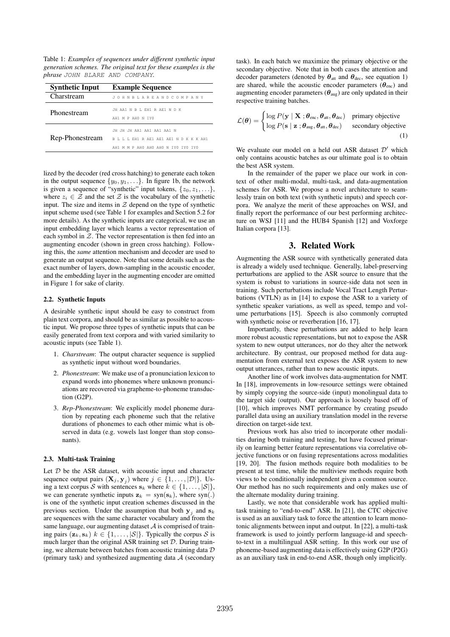Table 1: *Examples of sequences under different synthetic input generation schemes. The original text for these examples is the phrase* JOHN BLARE AND COMPANY*.*

| <b>Synthetic Input</b> | <b>Example Sequence</b>                                                                                      |  |  |
|------------------------|--------------------------------------------------------------------------------------------------------------|--|--|
| Charstream             | JOHNBLAREANDCOMPANY                                                                                          |  |  |
| Phonestream            | JH AA1 N R L EH1 R AE1 N D K<br>AH1 M P AH0 N TY0                                                            |  |  |
| Rep-Phonestream        | JH JH JH AA1 AA1 AA1 AA1 N<br>B L L L EH1 R AE1 AE1 AE1 N D K K K AH1<br>AH1 M M P AHO AHO AHO N TYO TYO TYO |  |  |

lized by the decoder (red cross hatching) to generate each token in the output sequence  $\{y_0, y_1, \ldots\}$ . In figure 1b, the network is given a sequence of "synthetic" input tokens,  $\{z_0, z_1, \ldots\}$ , where  $z_i \in \mathcal{Z}$  and the set  $\mathcal{Z}$  is the vocabulary of the synthetic input. The size and items in  $Z$  depend on the type of synthetic input scheme used (see Table 1 for examples and Section 5.2 for more details). As the synthetic inputs are categorical, we use an input embedding layer which learns a vector representation of each symbol in  $Z$ . The vector representation is then fed into an augmenting encoder (shown in green cross hatching). Following this, the *same* attention mechanism and decoder are used to generate an output sequence. Note that some details such as the exact number of layers, down-sampling in the acoustic encoder, and the embedding layer in the augmenting encoder are omitted in Figure 1 for sake of clarity.

### 2.2. Synthetic Inputs

A desirable synthetic input should be easy to construct from plain text corpora, and should be as similar as possible to acoustic input. We propose three types of synthetic inputs that can be easily generated from text corpora and with varied similarity to acoustic inputs (see Table 1).

- 1. *Charstream*: The output character sequence is supplied as synthetic input without word boundaries.
- 2. *Phonestream*: We make use of a pronunciation lexicon to expand words into phonemes where unknown pronunciations are recovered via grapheme-to-phoneme transduction (G2P).
- 3. *Rep-Phonestream*: We explicitly model phoneme duration by repeating each phoneme such that the relative durations of phonemes to each other mimic what is observed in data (e.g. vowels last longer than stop consonants).

# 2.3. Multi-task Training

Let  $D$  be the ASR dataset, with acoustic input and character sequence output pairs  $(\mathbf{X}_j, \mathbf{y}_j)$  where  $j \in \{1, \ldots, |\mathcal{D}|\}$ . Using a text corpus S with sentences  $\mathbf{s}_k$  where  $k \in \{1, \ldots, |\mathcal{S}|\},$ we can generate synthetic inputs  $z_k = \text{syn}(s_k)$ , where syn(.) is one of the synthetic input creation schemes discussed in the previous section. Under the assumption that both  $y_j$  and  $s_k$ are sequences with the same character vocabulary and from the same language, our augmenting dataset  $A$  is comprised of training pairs  $(\mathbf{z}_k, \mathbf{s}_k)$   $k \in \{1, ..., |\mathcal{S}|\}$ . Typically the corpus S is much larger than the original ASR training set  $D$ . During training, we alternate between batches from acoustic training data  $D$ (primary task) and synthesized augmenting data A (secondary task). In each batch we maximize the primary objective or the secondary objective. Note that in both cases the attention and decoder parameters (denoted by  $\theta_{\text{att}}$  and  $\theta_{\text{dec}}$ , see equation 1) are shared, while the acoustic encoder parameters  $(\theta_{\text{enc}})$  and augmenting encoder parameters  $(\theta_{\text{aug}})$  are only updated in their respective training batches.

$$
\mathcal{L}(\boldsymbol{\theta}) = \begin{cases} \log P(\mathbf{y} \mid \mathbf{X}; \boldsymbol{\theta}_{\text{enc}}, \boldsymbol{\theta}_{\text{att}}, \boldsymbol{\theta}_{\text{dec}}) & \text{primary objective} \\ \log P(\mathbf{s} \mid \mathbf{z}; \boldsymbol{\theta}_{\text{aug}}, \boldsymbol{\theta}_{\text{att}}, \boldsymbol{\theta}_{\text{dec}}) & \text{secondary objective} \end{cases}
$$
(1)

We evaluate our model on a held out ASR dataset  $\mathcal{D}'$  which only contains acoustic batches as our ultimate goal is to obtain the best ASR system.

In the remainder of the paper we place our work in context of other multi-modal, multi-task, and data-augmentation schemes for ASR. We propose a novel architecture to seamlessly train on both text (with synthetic inputs) and speech corpora. We analyze the merit of these approaches on WSJ, and finally report the performance of our best performing architecture on WSJ [11] and the HUB4 Spanish [12] and Voxforge Italian corpora [13].

# 3. Related Work

Augmenting the ASR source with synthetically generated data is already a widely used technique. Generally, label-preserving perturbations are applied to the ASR source to ensure that the system is robust to variations in source-side data not seen in training. Such perturbations include Vocal Tract Length Perturbations (VTLN) as in [14] to expose the ASR to a variety of synthetic speaker variations, as well as speed, tempo and volume perturbations [15]. Speech is also commonly corrupted with synthetic noise or reverberation [16, 17].

Importantly, these perturbations are added to help learn more robust acoustic representations, but not to expose the ASR system to new output utterances, nor do they alter the network architecture. By contrast, our proposed method for data augmentation from external text exposes the ASR system to new output utterances, rather than to new acoustic inputs.

Another line of work involves data-augmentation for NMT. In [18], improvements in low-resource settings were obtained by simply copying the source-side (input) monolingual data to the target side (output). Our approach is loosely based off of [10], which improves NMT performance by creating pseudo parallel data using an auxiliary translation model in the reverse direction on target-side text.

Previous work has also tried to incorporate other modalities during both training and testing, but have focused primarily on learning better feature representations via correlative objective functions or on fusing representations across modalities [19, 20]. The fusion methods require both modalities to be present at test time, while the multiview methods require both views to be conditionally independent given a common source. Our method has no such requirements and only makes use of the alternate modality during training.

Lastly, we note that considerable work has applied multitask training to "end-to-end" ASR. In [21], the CTC objective is used as an auxiliary task to force the attention to learn monotonic alignments between input and output. In [22], a multi-task framework is used to jointly perform language-id and speechto-text in a multilingual ASR setting. In this work our use of phoneme-based augmenting data is effectively using G2P (P2G) as an auxiliary task in end-to-end ASR, though only implicitly.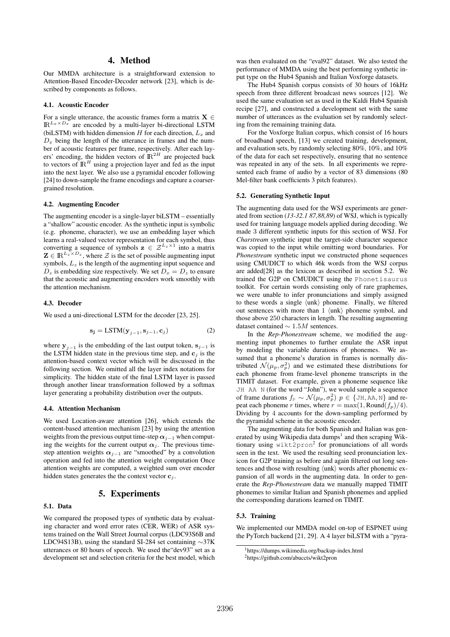# 4. Method

Our MMDA architecture is a straightforward extension to Attention-Based Encoder-Decoder network [23], which is described by components as follows.

#### 4.1. Acoustic Encoder

For a single utterance, the acoustic frames form a matrix  $X \in$  $\mathbb{R}^{L_x \times D_x}$  are encoded by a multi-layer bi-directional LSTM (biLSTM) with hidden dimension  $H$  for each direction,  $L_x$  and  $D_x$  being the length of the utterance in frames and the number of acoustic features per frame, respectively. After each layers' encoding, the hidden vectors of  $\mathbb{R}^{2H}$  are projected back to vectors of  $\mathbb{R}^H$  using a projection layer and fed as the input into the next layer. We also use a pyramidal encoder following [24] to down-sample the frame encodings and capture a coarsergrained resolution.

### 4.2. Augmenting Encoder

The augmenting encoder is a single-layer biLSTM – essentially a "shallow" acoustic encoder. As the synthetic input is symbolic (e.g. phoneme, character), we use an embedding layer which learns a real-valued vector representation for each symbol, thus converting a sequence of symbols  $z \in \mathcal{Z}^{L_z \times 1}$  into a matrix  $\mathbf{Z} \in \mathbb{R}^{L_z \times D_z}$ , where  $\mathcal{Z}$  is the set of possible augmenting input symbols,  $L<sub>z</sub>$  is the length of the augmenting input sequence and  $D_z$  is embedding size respectively. We set  $D_x = D_z$  to ensure that the acoustic and augmenting encoders work smoothly with the attention mechanism.

#### 4.3. Decoder

We used a uni-directional LSTM for the decoder [23, 25].

$$
\mathbf{s_j} = \text{LSTM}(\mathbf{y}_{j-1}, \mathbf{s}_{j-1}, \mathbf{c}_j)
$$
 (2)

where  $y_{j-1}$  is the embedding of the last output token,  $s_{j-1}$  is the LSTM hidden state in the previous time step, and  $c_i$  is the attention-based context vector which will be discussed in the following section. We omitted all the layer index notations for simplicity. The hidden state of the final LSTM layer is passed through another linear transformation followed by a softmax layer generating a probability distribution over the outputs.

#### 4.4. Attention Mechanism

We used Location-aware attention [26], which extends the content-based attention mechanism [23] by using the attention weights from the previous output time-step  $\alpha_{j-1}$  when computing the weights for the current output  $\alpha_i$ . The previous timestep attention weights  $\alpha_{i-1}$  are "smoothed" by a convolution operation and fed into the attention weight computation Once attention weights are computed, a weighted sum over encoder hidden states generates the the context vector  $c_i$ .

# 5. Experiments

#### 5.1. Data

We compared the proposed types of synthetic data by evaluating character and word error rates (CER, WER) of ASR systems trained on the Wall Street Journal corpus (LDC93S6B and LDC94S13B), using the standard SI-284 set containing ∼37K utterances or 80 hours of speech. We used the"dev93" set as a development set and selection criteria for the best model, which

was then evaluated on the "eval92" dataset. We also tested the performance of MMDA using the best performing synthetic input type on the Hub4 Spanish and Italian Voxforge datasets.

The Hub4 Spanish corpus consists of 30 hours of 16kHz speech from three different broadcast news sources [12]. We used the same evaluation set as used in the Kaldi Hub4 Spanish recipe [27], and constructed a development set with the same number of utterances as the evaluation set by randomly selecting from the remaining training data.

For the Voxforge Italian corpus, which consist of 16 hours of broadband speech, [13] we created training, development, and evaluation sets, by randomly selecting 80%, 10%, and 10% of the data for each set respectively, ensuring that no sentence was repeated in any of the sets. In all experiments we represented each frame of audio by a vector of 83 dimensions (80 Mel-filter bank coefficients 3 pitch features).

#### 5.2. Generating Synthetic Input

The augmenting data used for the WSJ experiments are generated from section (*13-32.1 87,88,89*) of WSJ, which is typically used for training language models applied during decoding. We made 3 different synthetic inputs for this section of WSJ. For *Charstream* synthetic input the target-side character sequence was copied to the input while omitting word boundaries. For *Phonestream* synthetic input we constructed phone sequences using CMUDICT to which 46k words from the WSJ corpus are added[28] as the lexicon as described in section 5.2. We trained the G2P on CMUDICT using the Phonetisaurus toolkit. For certain words consisting only of rare graphemes, we were unable to infer pronunciations and simply assigned to these words a single  $\langle \text{unk} \rangle$  phoneme. Finally, we filtered out sentences with more than  $1 \langle \text{unk} \rangle$  phoneme symbol, and those above 250 characters in length. The resulting augmenting dataset contained  $\sim 1.5M$  sentences.

In the *Rep-Phonestream* scheme, we modified the augmenting input phonemes to further emulate the ASR input by modeling the variable durations of phonemes. We assumed that a phoneme's duration in frames is normally distributed  $\mathcal{N}(\mu_p, \sigma_p^2)$  and we estimated these distributions for each phoneme from frame-level phoneme transcripts in the TIMIT dataset. For example, given a phoneme sequence like JH AA N (for the word "John"), we would sample a sequence of frame durations  $f_{p} \sim \mathcal{N}(\mu_{p}, \sigma_{p}^{2})$   $p \in \{\text{JH}, \text{AA}, \text{N}\}\$  and repeat each phoneme r times, where  $r = \max(1, \text{Round}(f_p)/4)$ . Dividing by 4 accounts for the down-sampling performed by the pyramidal scheme in the acoustic encoder.

The augmenting data for both Spanish and Italian was generated by using Wikipedia data dumps<sup>1</sup> and then scraping Wiktionary using wikt2pron<sup>2</sup> for pronunciations of all words seen in the text. We used the resulting seed pronunciation lexicon for G2P training as before and again filtered out long sentences and those with resulting  $\langle \text{unk} \rangle$  words after phonemic expansion of all words in the augmenting data. In order to generate the *Rep-Phonestream* data we manually mapped TIMIT phonemes to similar Italian and Spanish phonemes and applied the corresponding durations learned on TIMIT.

# 5.3. Training

We implemented our MMDA model on-top of ESPNET using the PyTorch backend [21, 29]. A 4 layer biLSTM with a "pyra-

<sup>&</sup>lt;sup>1</sup>https://dumps.wikimedia.org/backup-index.html

<sup>2</sup>https://github.com/abuccts/wikt2pron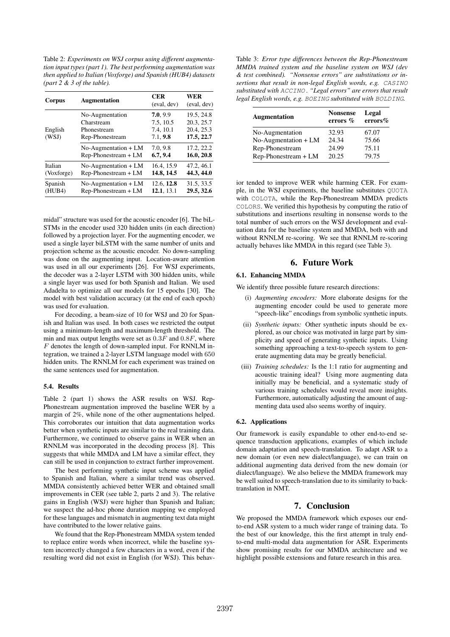Table 2: *Experiments on WSJ corpus using different augmentation input types (part 1). The best performing augmentation was then applied to Italian (Voxforge) and Spanish (HUB4) datasets (part 2 & 3 of the table).*

| Corpus           | <b>Augmentation</b>                                             | <b>CER</b><br>(eval, dev)                      | <b>WER</b><br>(eval, dev)                            |
|------------------|-----------------------------------------------------------------|------------------------------------------------|------------------------------------------------------|
| English<br>(WSJ) | No-Augmentation<br>Charstream<br>Phonestream<br>Rep-Phonestream | 7.0, 9.9<br>7.5, 10.5<br>7.4, 10.1<br>7.1, 9.8 | 19.5, 24.8<br>20.3, 25.7<br>20.4, 25.3<br>17.5, 22.7 |
|                  | $No$ -Augmentation + LM                                         | 7.0, 9.8                                       | 17.2, 22.2                                           |
|                  | Rep-Phonestream + LM                                            | 6.7, 9.4                                       | 16.0, 20.8                                           |
| Italian          | $No$ -Augmentation + $LM$                                       | 16.4.15.9                                      | 47.2, 46.1                                           |
| (Voxforge)       | Rep-Phonestream + LM                                            | 14.8, 14.5                                     | 44.3, 44.0                                           |
| Spanish          | $No$ -Augmentation + $LM$                                       | 12.6, 12.8                                     | 31.5, 33.5                                           |
| (HUB4)           | Rep-Phonestream + LM                                            | 12.1, 13.1                                     | 29.5, 32.6                                           |

midal" structure was used for the acoustic encoder [6]. The biL-STMs in the encoder used 320 hidden units (in each direction) followed by a projection layer. For the augmenting encoder, we used a single layer biLSTM with the same number of units and projection scheme as the acoustic encoder. No down-sampling was done on the augmenting input. Location-aware attention was used in all our experiments [26]. For WSJ experiments, the decoder was a 2-layer LSTM with 300 hidden units, while a single layer was used for both Spanish and Italian. We used Adadelta to optimize all our models for 15 epochs [30]. The model with best validation accuracy (at the end of each epoch) was used for evaluation.

For decoding, a beam-size of 10 for WSJ and 20 for Spanish and Italian was used. In both cases we restricted the output using a minimum-length and maximum-length threshold. The min and max output lengths were set as  $0.3F$  and  $0.8F$ , where F denotes the length of down-sampled input. For RNNLM integration, we trained a 2-layer LSTM language model with 650 hidden units. The RNNLM for each experiment was trained on the same sentences used for augmentation.

#### 5.4. Results

Table 2 (part 1) shows the ASR results on WSJ. Rep-Phonestream augmentation improved the baseline WER by a margin of 2%, while none of the other augmentations helped. This corroborates our intuition that data augmentation works better when synthetic inputs are similar to the real training data. Furthermore, we continued to observe gains in WER when an RNNLM was incorporated in the decoding process [8]. This suggests that while MMDA and LM have a similar effect, they can still be used in conjunction to extract further improvement.

The best performing synthetic input scheme was applied to Spanish and Italian, where a similar trend was observed. MMDA consistently achieved better WER and obtained small improvements in CER (see table 2, parts 2 and 3). The relative gains in English (WSJ) were higher than Spanish and Italian; we suspect the ad-hoc phone duration mapping we employed for these languages and mismatch in augmenting text data might have contributed to the lower relative gains.

We found that the Rep-Phonestream MMDA system tended to replace entire words when incorrect, while the baseline system incorrectly changed a few characters in a word, even if the resulting word did not exist in English (for WSJ). This behav-

Table 3: *Error type differences between the Rep-Phonestream MMDA trained system and the baseline system on WSJ (dev & test combined). "Nonsense errors" are substitutions or insertions that result in non-legal English words, e.g.* CASINO *substituted with* ACCINO *. "Legal errors" are errors that result legal English words, e.g.* BOEING *substituted with* BOLDING*.*

| <b>Augmentation</b>     | <b>Nonsense</b><br>errors % | Legal<br>$\text{errors}\%$ |
|-------------------------|-----------------------------|----------------------------|
| No-Augmentation         | 32.93                       | 67.07                      |
| $No$ -Augmentation + LM | 24.34                       | 75.66                      |
| Rep-Phonestream         | 24.99                       | 75.11                      |
| Rep-Phonestream + LM    | 20.25                       | 79.75                      |

ior tended to improve WER while harming CER. For example, in the WSJ experiments, the baseline substitutes QUOTA with COLOTA, while the Rep-Phonestream MMDA predicts COLORS. We verified this hypothesis by computing the ratio of substitutions and insertions resulting in nonsense words to the total number of such errors on the WSJ development and evaluation data for the baseline system and MMDA, both with and without RNNLM re-scoring. We see that RNNLM re-scoring actually behaves like MMDA in this regard (see Table 3).

# 6. Future Work

### 6.1. Enhancing MMDA

We identify three possible future research directions:

- (i) *Augmenting encoders:* More elaborate designs for the augmenting encoder could be used to generate more "speech-like" encodings from symbolic synthetic inputs.
- (ii) *Synthetic inputs:* Other synthetic inputs should be explored, as our choice was motivated in large part by simplicity and speed of generating synthetic inputs. Using something approaching a text-to-speech system to generate augmenting data may be greatly beneficial.
- (iii) *Training schedules:* Is the 1:1 ratio for augmenting and acoustic training ideal? Using more augmenting data initially may be beneficial, and a systematic study of various training schedules would reveal more insights. Furthermore, automatically adjusting the amount of augmenting data used also seems worthy of inquiry.

### 6.2. Applications

Our framework is easily expandable to other end-to-end sequence transduction applications, examples of which include domain adaptation and speech-translation. To adapt ASR to a new domain (or even new dialect/language), we can train on additional augmenting data derived from the new domain (or dialect/language). We also believe the MMDA framework may be well suited to speech-translation due to its similarity to backtranslation in NMT.

# 7. Conclusion

We proposed the MMDA framework which exposes our endto-end ASR system to a much wider range of training data. To the best of our knowledge, this the first attempt in truly endto-end multi-modal data augmentation for ASR. Experiments show promising results for our MMDA architecture and we highlight possible extensions and future research in this area.